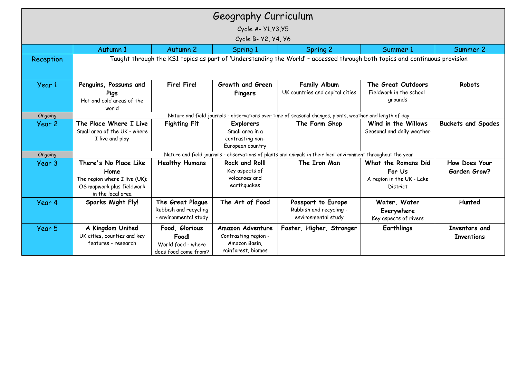|           |                                                                                                                            |                                                                       | Geography Curriculum                                                            |                                                                      |                                                                        |                                      |  |  |  |
|-----------|----------------------------------------------------------------------------------------------------------------------------|-----------------------------------------------------------------------|---------------------------------------------------------------------------------|----------------------------------------------------------------------|------------------------------------------------------------------------|--------------------------------------|--|--|--|
|           |                                                                                                                            |                                                                       | Cycle A- Y1, Y3, Y5                                                             |                                                                      |                                                                        |                                      |  |  |  |
|           |                                                                                                                            |                                                                       | Cycle B- Y2, Y4, Y6                                                             |                                                                      |                                                                        |                                      |  |  |  |
|           | Autumn 1                                                                                                                   | Autumn 2                                                              | Spring 1                                                                        | <b>Spring 2</b>                                                      | Summer 1                                                               | Summer 2                             |  |  |  |
| Reception | Taught through the KS1 topics as part of 'Understanding the World' - accessed through both topics and continuous provision |                                                                       |                                                                                 |                                                                      |                                                                        |                                      |  |  |  |
| Year 1    | Penguins, Possums and<br>Pigs<br>Hot and cold areas of the<br>world                                                        | <b>Fire! Fire!</b>                                                    | Growth and Green<br><b>Fingers</b>                                              | <b>Family Album</b><br>UK countries and capital cities               | The Great Outdoors<br>Fieldwork in the school<br>grounds               | Robots                               |  |  |  |
| Ongoing   | Nature and field journals - observations over time of seasonal changes, plants, weather and length of day                  |                                                                       |                                                                                 |                                                                      |                                                                        |                                      |  |  |  |
| Year 2    | The Place Where I Live<br>Small area of the UK - where<br>I live and play                                                  | <b>Fighting Fit</b>                                                   | <b>Explorers</b><br>Small area in a<br>contrasting non-<br>European country     | The Farm Shop                                                        | Wind in the Willows<br>Seasonal and daily weather                      | <b>Buckets and Spades</b>            |  |  |  |
| Ongoing   | Nature and field journals - observations of plants and animals in their local environment throughout the year              |                                                                       |                                                                                 |                                                                      |                                                                        |                                      |  |  |  |
| Year 3    | There's No Place Like<br>Home<br>The region where I live (UK);<br>OS mapwork plus fieldwork<br>in the local area           | <b>Healthy Humans</b>                                                 | <b>Rock and Roll!</b><br>Key aspects of<br>volcanoes and<br>earthquakes         | The Iron Man                                                         | What the Romans Did<br>For Us<br>A region in the UK - Lake<br>District | How Does Your<br><b>Garden Grow?</b> |  |  |  |
| Year 4    | <b>Sparks Might Fly!</b>                                                                                                   | The Great Plague<br>Rubbish and recycling<br>- environmental study    | The Art of Food                                                                 | Passport to Europe<br>Rubbish and recycling -<br>environmental study | Water, Water<br>Everywhere<br>Key aspects of rivers                    | Hunted                               |  |  |  |
| Year 5    | A Kingdom United<br>UK cities, counties and key<br>features - research                                                     | Food, Glorious<br>Food!<br>World food - where<br>does food come from? | Amazon Adventure<br>Contrasting region -<br>Amazon Basin,<br>rainforest, biomes | Faster, Higher, Stronger                                             | <b>Earthlings</b>                                                      | Inventors and<br><b>Inventions</b>   |  |  |  |